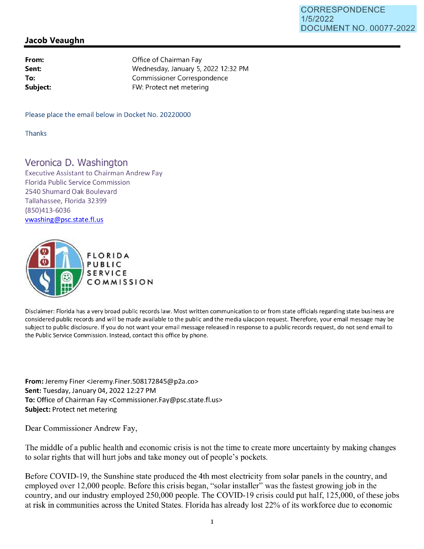## **Jacob Veaughn**

| From:    |
|----------|
| Sent:    |
| To:      |
| Subject: |

Office of Chairman Fay Wednesday, January 5, 2022 12:32 PM Commissioner Correspondence FW: Protect net metering

Please place the email below in Docket No. 20220000

Thanks

## Veronica D. Washington

Executive Assistant to Chairman Andrew Fay Florida Public Service Commission 2540 Shumard Oak Boulevard Tallahassee, Florida 32399 (850)413-6036 vwashing@psc.state.fl.us



Disclaimer: Florida has a very broad public records law. Most written communication to or from state officials regarding state business are considered public records and will be made available to the public and the media uJacpon request. Therefore, your email message may be subject to public disclosure. If you do not want your email message released in response to a public records request, do not send email to the Public Service Commission. Instead, contact this office by phone.

**From:** Jeremy Finer <Jeremy.Finer.508172845@p2a.co> **Sent:** Tuesday, January 04, 2022 12:27 PM **To:** Office of Chairman Fay <Commissioner.Fay@psc.state.fl.us> **Subject:** Protect net metering

Dear Commissioner Andrew Fay,

The middle of a public health and economic crisis is not the time to create more uncertainty by making changes to solar rights that will hurt jobs and take money out of people's pockets.

Before COVID-19, the Sunshine state produced the 4th most electricity from solar panels in the country, and employed over 12,000 people. Before this crisis began, "solar installer" was the fastest growing job in the country, and our industry employed 250,000 people. The COVID-19 crisis could put half, 125,000, of these jobs at risk in communities across the United States. Florida has already lost 22% of its workforce due to economic